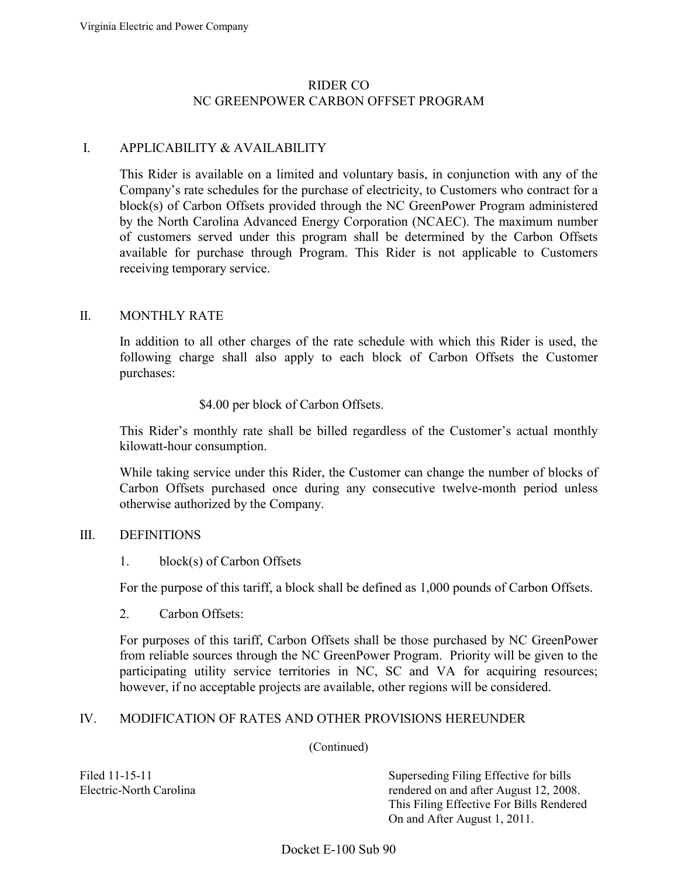## RIDER CO NC GREENPOWER CARBON OFFSET PROGRAM

### I. APPLICABILITY & AVAILABILITY

 This Rider is available on a limited and voluntary basis, in conjunction with any of the Company's rate schedules for the purchase of electricity, to Customers who contract for a by the North Carolina Advanced Energy Corporation (NCAEC). The maximum number available for purchase through Program. This Rider is not applicable to Customers block(s) of Carbon Offsets provided through the NC GreenPower Program administered of customers served under this program shall be determined by the Carbon Offsets receiving temporary service.

#### II. MONTHLY RATE

 In addition to all other charges of the rate schedule with which this Rider is used, the following charge shall also apply to each block of Carbon Offsets the Customer purchases:

#### \$4.00 per block of Carbon Offsets.

This Rider's monthly rate shall be billed regardless of the Customer's actual monthly kilowatt-hour consumption.

 While taking service under this Rider, the Customer can change the number of blocks of Carbon Offsets purchased once during any consecutive twelve-month period unless otherwise authorized by the Company.

#### III. DEFINITIONS

#### 1. block(s) of Carbon Offsets

For the purpose of this tariff, a block shall be defined as 1,000 pounds of Carbon Offsets.

2. Carbon Offsets:

 For purposes of this tariff, Carbon Offsets shall be those purchased by NC GreenPower from reliable sources through the NC GreenPower Program. Priority will be given to the participating utility service territories in NC, SC and VA for acquiring resources; however, if no acceptable projects are available, other regions will be considered.

#### IV. MODIFICATION OF RATES AND OTHER PROVISIONS HEREUNDER

(Continued)

Filed 11-15-11 Superseding Filing Effective for bills Electric-North Carolina rendered on and after August 12, 2008. This Filing Effective For Bills Rendered On and After August 1, 2011.

Docket E-100 Sub 90